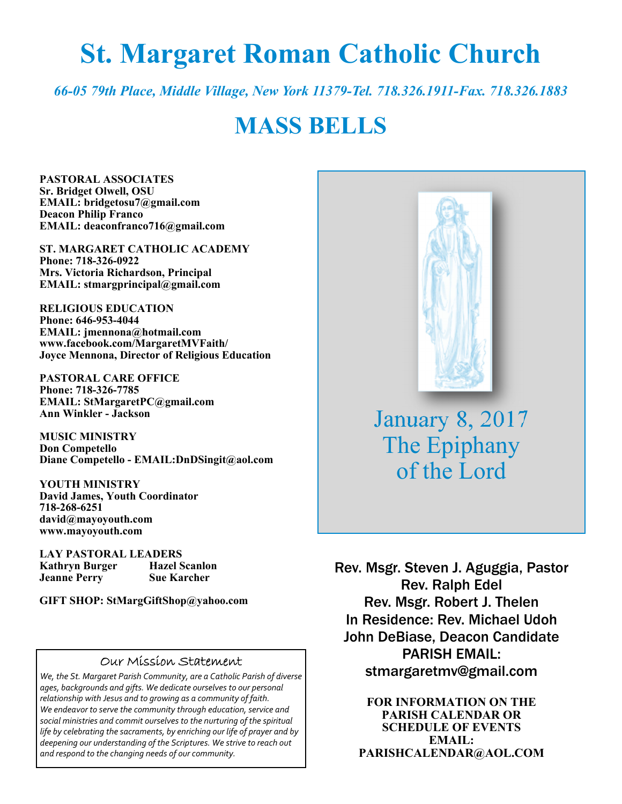# **St. Margaret Roman Catholic Church**

*66-05 79th Place, Middle Village, New York 11379-Tel. 718.326.1911-Fax. 718.326.1883* 

# **MASS BELLS**

**PASTORAL ASSOCIATES Sr. Bridget Olwell, OSU EMAIL: bridgetosu7@gmail.com Deacon Philip Franco EMAIL: deaconfranco716@gmail.com** 

**ST. MARGARET CATHOLIC ACADEMY Phone: 718-326-0922 Mrs. Victoria Richardson, Principal EMAIL: stmargprincipal@gmail.com** 

**RELIGIOUS EDUCATION Phone: 646-953-4044 EMAIL: jmennona@hotmail.com www.facebook.com/MargaretMVFaith/ Joyce Mennona, Director of Religious Education** 

**PASTORAL CARE OFFICE Phone: 718-326-7785 EMAIL: StMargaretPC@gmail.com Ann Winkler - Jackson** 

**MUSIC MINISTRY Don Competello Diane Competello - EMAIL:DnDSingit@aol.com** 

**YOUTH MINISTRY David James, Youth Coordinator 718-268-6251 david@mayoyouth.com www.mayoyouth.com** 

**LAY PASTORAL LEADERS Kathryn Burger Hazel Scanlon Jeanne Perry Sue Karcher** 

**GIFT SHOP: StMargGiftShop@yahoo.com**

#### Our Mission Statement

*We, the St. Margaret Parish Community, are a Catholic Parish of diverse ages, backgrounds and gifts. We dedicate ourselves to our personal relationship with Jesus and to growing as a community of faith. We endeavor to serve the community through education, service and social ministries and commit ourselves to the nurturing of the spiritual life by celebrating the sacraments, by enriching our life of prayer and by deepening our understanding of the Scriptures. We strive to reach out and respond to the changing needs of our community.*



January 8, 2017 The Epiphany of the Lord

Rev. Msgr. Steven J. Aguggia, Pastor Rev. Ralph Edel Rev. Msgr. Robert J. Thelen In Residence: Rev. Michael Udoh John DeBiase, Deacon Candidate PARISH EMAIL: stmargaretmv@gmail.com

> **FOR INFORMATION ON THE PARISH CALENDAR OR SCHEDULE OF EVENTS EMAIL: PARISHCALENDAR@AOL.COM**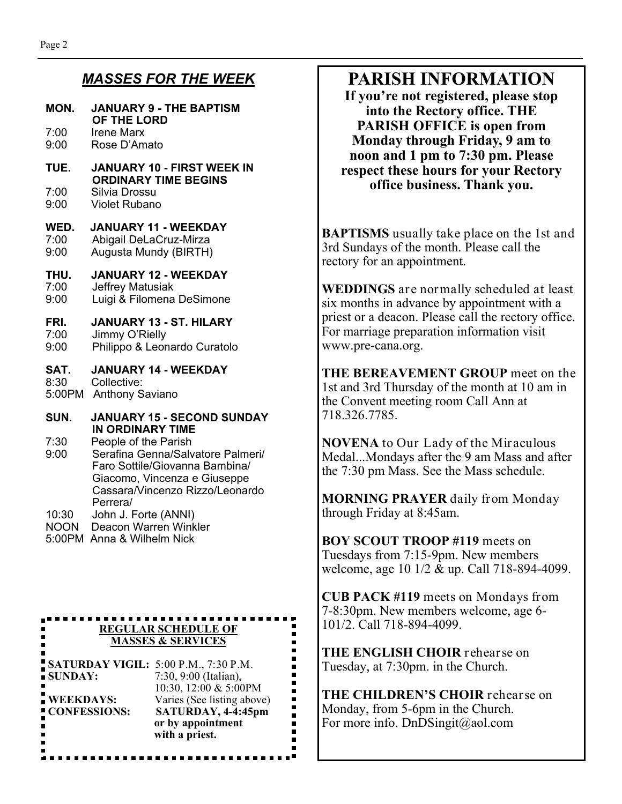#### *MASSES FOR THE WEEK*

| MON.         | <b>JANUARY 9 - THE BAPTISM</b><br>OF THE LORD                                                                               |  |
|--------------|-----------------------------------------------------------------------------------------------------------------------------|--|
| 7:00         | <b>Irene Marx</b>                                                                                                           |  |
| 9:00         | Rose D'Amato                                                                                                                |  |
| TUE.         | <b>JANUARY 10 - FIRST WEEK IN</b><br><b>ORDINARY TIME BEGINS</b>                                                            |  |
| 7:00         | Silvia Drossu                                                                                                               |  |
| 9:00         | <b>Violet Rubano</b>                                                                                                        |  |
| WED.         | <b>JANUARY 11 - WEEKDAY</b>                                                                                                 |  |
| 7:00         | Abigail DeLaCruz-Mirza                                                                                                      |  |
| 9:00         | Augusta Mundy (BIRTH)                                                                                                       |  |
| THU.         | <b>JANUARY 12 - WEEKDAY</b>                                                                                                 |  |
| 7:00         | Jeffrey Matusiak                                                                                                            |  |
| 9:00         | Luigi & Filomena DeSimone                                                                                                   |  |
| FRI.         | <b>JANUARY 13 - ST. HILARY</b>                                                                                              |  |
| 7:00         | Jimmy O'Rielly                                                                                                              |  |
| 9:00         | Philippo & Leonardo Curatolo                                                                                                |  |
| SAT.         | <b>JANUARY 14 - WEEKDAY</b>                                                                                                 |  |
| 8:30         | Collective:                                                                                                                 |  |
| 5:00PM       | <b>Anthony Saviano</b>                                                                                                      |  |
| SUN.         | <b>JANUARY 15 - SECOND SUNDAY</b><br><b>IN ORDINARY TIME</b>                                                                |  |
| 7:30<br>9:00 | People of the Parish<br>Serafina Genna/Salvatore Palmeri/<br>Faro Sottile/Giovanna Bambina/<br>Giacomo, Vincenza e Giuseppe |  |

 Cassara/Vincenzo Rizzo/Leonardo Perrera/<br>10:30 John J. F John J. Forte (ANNI)

- NOON Deacon Warren Winkler
- 5:00PM Anna & Wilhelm Nick

 $\blacksquare$ 

 $\blacksquare$ 

**REGULAR SCHEDULE OF MASSES & SERVICES** 

**SATURDAY VIGIL:** 5:00 P.M., 7:30 P.M.<br>SUNDAY: 7:30, 9:00 (Italian), 7:30, 9:00 (Italian), 10:30, 12:00 & 5:00PM **WEEKDAYS:** Varies (See listing above) **CONFESSIONS: SATURDAY, 4-4:45pm** 

> **or by appointment with a priest.**

## **PARISH INFORMATION**

**If you're not registered, please stop into the Rectory office. THE PARISH OFFICE is open from Monday through Friday, 9 am to noon and 1 pm to 7:30 pm. Please respect these hours for your Rectory office business. Thank you.** 

**BAPTISMS** usually take place on the 1st and 3rd Sundays of the month. Please call the rectory for an appointment.

**WEDDINGS** are normally scheduled at least six months in advance by appointment with a priest or a deacon. Please call the rectory office. For marriage preparation information visit www.pre-cana.org.

**THE BEREAVEMENT GROUP** meet on the 1st and 3rd Thursday of the month at 10 am in the Convent meeting room Call Ann at 718.326.7785.

**NOVENA** to Our Lady of the Miraculous Medal...Mondays after the 9 am Mass and after the 7:30 pm Mass. See the Mass schedule.

**MORNING PRAYER** daily from Monday through Friday at 8:45am.

**BOY SCOUT TROOP #119** meets on Tuesdays from 7:15-9pm. New members welcome, age 10 1/2 & up. Call 718-894-4099.

**CUB PACK #119** meets on Mondays from 7-8:30pm. New members welcome, age 6- 101/2. Call 718-894-4099.

**THE ENGLISH CHOIR** rehearse on Tuesday, at 7:30pm. in the Church.

**THE CHILDREN'S CHOIR** rehearse on Monday, from 5-6pm in the Church. For more info. DnDSingit@aol.com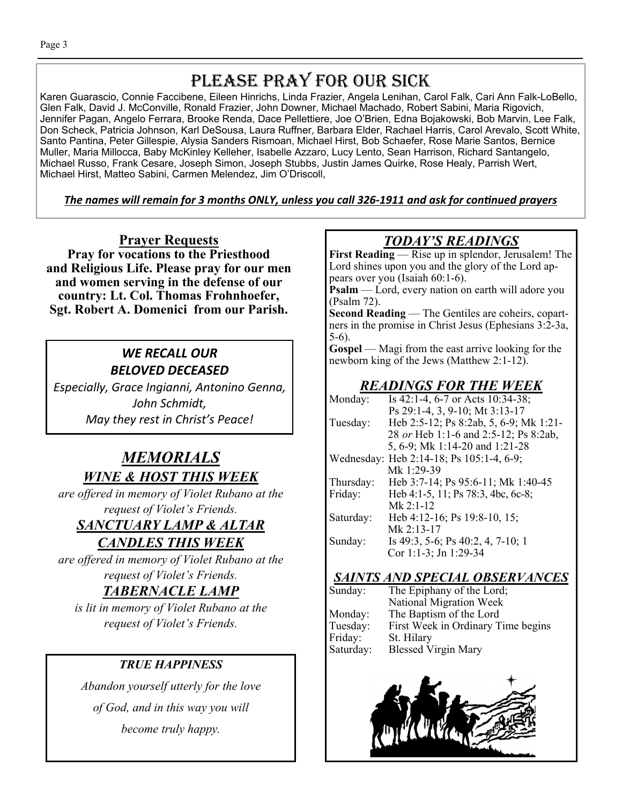## PLEASE PRAY FOR OUR SICK

Karen Guarascio, Connie Faccibene, Eileen Hinrichs, Linda Frazier, Angela Lenihan, Carol Falk, Cari Ann Falk-LoBello, Glen Falk, David J. McConville, Ronald Frazier, John Downer, Michael Machado, Robert Sabini, Maria Rigovich, Jennifer Pagan, Angelo Ferrara, Brooke Renda, Dace Pellettiere, Joe O'Brien, Edna Bojakowski, Bob Marvin, Lee Falk, Don Scheck, Patricia Johnson, Karl DeSousa, Laura Ruffner, Barbara Elder, Rachael Harris, Carol Arevalo, Scott White, Santo Pantina, Peter Gillespie, Alysia Sanders Rismoan, Michael Hirst, Bob Schaefer, Rose Marie Santos, Bernice Muller, Maria Millocca, Baby McKinley Kelleher, Isabelle Azzaro, Lucy Lento, Sean Harrison, Richard Santangelo, Michael Russo, Frank Cesare, Joseph Simon, Joseph Stubbs, Justin James Quirke, Rose Healy, Parrish Wert, Michael Hirst, Matteo Sabini, Carmen Melendez, Jim O'Driscoll,

#### The names will remain for 3 months ONLY, unless you call 326-1911 and ask for continued prayers

**Prayer Requests Pray for vocations to the Priesthood and Religious Life. Please pray for our men and women serving in the defense of our country: Lt. Col. Thomas Frohnhoefer, Sgt. Robert A. Domenici from our Parish.**

## *WE RECALL OUR BELOVED DECEASED*

*Especially, Grace Ingianni, Antonino Genna, John Schmidt, May they rest in Christ's Peace!* 

## *MEMORIALS WINE & HOST THIS WEEK*

*are offered in memory of Violet Rubano at the request of Violet's Friends.* 

## *SANCTUARY LAMP & ALTAR CANDLES THIS WEEK*

*are offered in memory of Violet Rubano at the request of Violet's Friends.* 

## *TABERNACLE LAMP*

*is lit in memory of Violet Rubano at the request of Violet's Friends.* 

## *TRUE HAPPINESS*

*Abandon yourself utterly for the love of God, and in this way you will become truly happy.* 

## *TODAY'S READINGS*

**First Reading** — Rise up in splendor, Jerusalem! The Lord shines upon you and the glory of the Lord appears over you (Isaiah 60:1-6).

**Psalm** — Lord, every nation on earth will adore you (Psalm 72).

**Second Reading** — The Gentiles are coheirs, copartners in the promise in Christ Jesus (Ephesians  $3:\overline{2}-3a$ , 5-6).

**Gospel** — Magi from the east arrive looking for the newborn king of the Jews (Matthew 2:1-12).

## *READINGS FOR THE WEEK*

| Monday:   | Is 42:1-4, 6-7 or Acts 10:34-38;         |
|-----------|------------------------------------------|
|           | Ps 29:1-4, 3, 9-10; Mt 3:13-17           |
| Tuesday:  | Heb 2:5-12; Ps 8:2ab, 5, 6-9; Mk 1:21-   |
|           | 28 or Heb 1:1-6 and 2:5-12; Ps 8:2ab,    |
|           | 5, 6-9; Mk 1:14-20 and 1:21-28           |
|           | Wednesday: Heb 2:14-18; Ps 105:1-4, 6-9; |
|           | Mk 1:29-39                               |
| Thursday: | Heb 3:7-14; Ps 95:6-11; Mk 1:40-45       |
| Friday:   | Heb 4:1-5, 11; Ps 78:3, 4bc, 6c-8;       |
|           | $Mk$ 2:1-12                              |
| Saturday: | Heb 4:12-16; Ps 19:8-10, 15;             |
|           | Mk $2:13-17$                             |
| Sunday:   | Is 49:3, 5-6; Ps 40:2, 4, 7-10; 1        |
|           | Cor 1:1-3; Jn 1:29-34                    |

## *SAINTS AND SPECIAL OBSERVANCES*

| The Epiphany of the Lord;          |
|------------------------------------|
| National Migration Week            |
| The Baptism of the Lord            |
| First Week in Ordinary Time begins |
|                                    |
| <b>Blessed Virgin Mary</b>         |
|                                    |

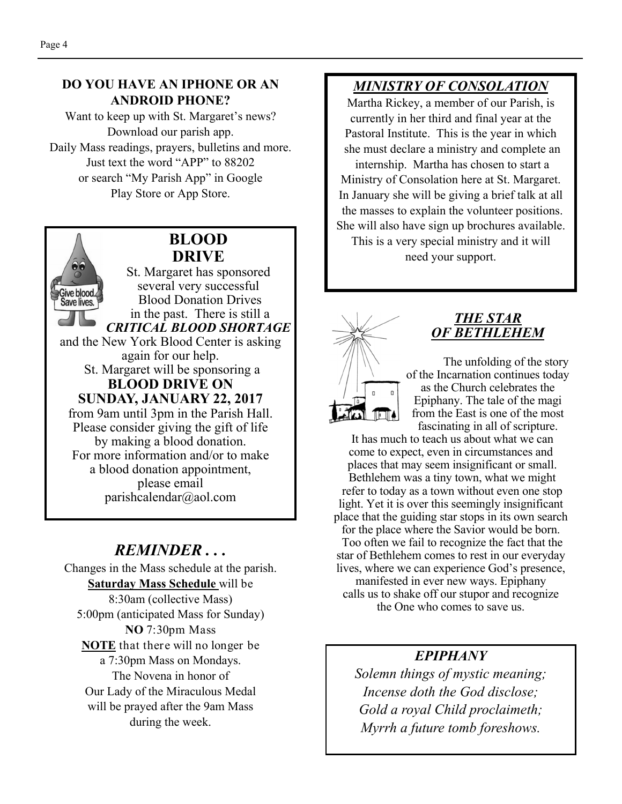#### **DO YOU HAVE AN IPHONE OR AN ANDROID PHONE?**

Want to keep up with St. Margaret's news? Download our parish app. Daily Mass readings, prayers, bulletins and more. Just text the word "APP" to 88202 or search "My Parish App" in Google Play Store or App Store.

## **BLOOD DRIVE**

St. Margaret has sponsored several very successful Give blood. Blood Donation Drives Save lives. in the past. There is still a *CRITICAL BLOOD SHORTAGE* and the New York Blood Center is asking again for our help. St. Margaret will be sponsoring a **BLOOD DRIVE ON SUNDAY, JANUARY 22, 2017**  from 9am until 3pm in the Parish Hall. Please consider giving the gift of life by making a blood donation. For more information and/or to make a blood donation appointment, please email

parishcalendar@aol.com

## *REMINDER . . .*

Changes in the Mass schedule at the parish. **Saturday Mass Schedule** will be 8:30am (collective Mass) 5:00pm (anticipated Mass for Sunday) **NO** 7:30pm Mass **NOTE** that there will no longer be a 7:30pm Mass on Mondays. The Novena in honor of Our Lady of the Miraculous Medal will be prayed after the 9am Mass during the week.

## *MINISTRY OF CONSOLATION*

Martha Rickey, a member of our Parish, is currently in her third and final year at the Pastoral Institute. This is the year in which she must declare a ministry and complete an internship. Martha has chosen to start a Ministry of Consolation here at St. Margaret. In January she will be giving a brief talk at all the masses to explain the volunteer positions. She will also have sign up brochures available. This is a very special ministry and it will

need your support.



#### *THE STAR OF BETHLEHEM*

The unfolding of the story of the Incarnation continues today as the Church celebrates the Epiphany. The tale of the magi from the East is one of the most fascinating in all of scripture.

 It has much to teach us about what we can come to expect, even in circumstances and places that may seem insignificant or small. Bethlehem was a tiny town, what we might refer to today as a town without even one stop light. Yet it is over this seemingly insignificant place that the guiding star stops in its own search for the place where the Savior would be born.

 Too often we fail to recognize the fact that the star of Bethlehem comes to rest in our everyday lives, where we can experience God's presence,

manifested in ever new ways. Epiphany calls us to shake off our stupor and recognize the One who comes to save us.

#### *EPIPHANY*

*Solemn things of mystic meaning; Incense doth the God disclose; Gold a royal Child proclaimeth; Myrrh a future tomb foreshows.*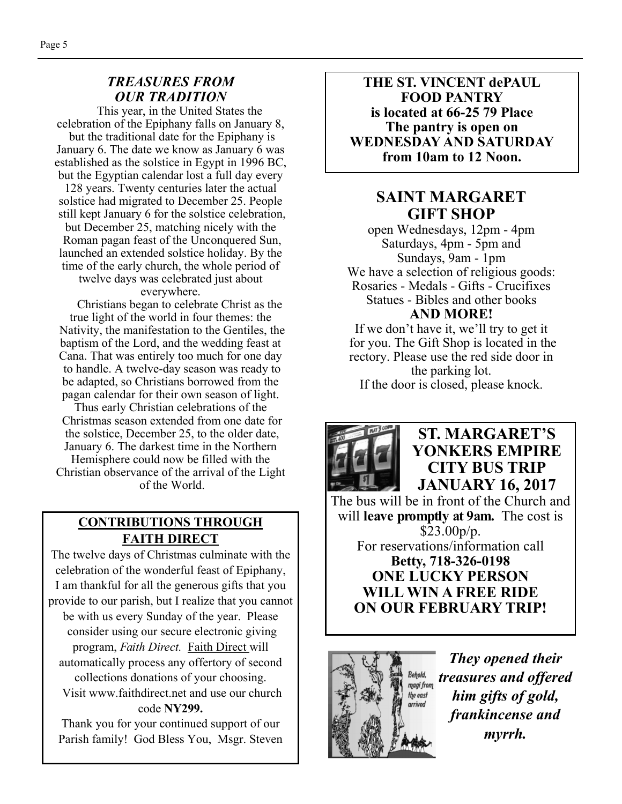#### *TREASURES FROM OUR TRADITION*

This year, in the United States the celebration of the Epiphany falls on January 8, but the traditional date for the Epiphany is January 6. The date we know as January 6 was established as the solstice in Egypt in 1996 BC, but the Egyptian calendar lost a full day every

128 years. Twenty centuries later the actual solstice had migrated to December 25. People still kept January 6 for the solstice celebration, but December 25, matching nicely with the Roman pagan feast of the Unconquered Sun, launched an extended solstice holiday. By the time of the early church, the whole period of

twelve days was celebrated just about everywhere.

 Christians began to celebrate Christ as the true light of the world in four themes: the Nativity, the manifestation to the Gentiles, the baptism of the Lord, and the wedding feast at Cana. That was entirely too much for one day to handle. A twelve-day season was ready to be adapted, so Christians borrowed from the pagan calendar for their own season of light.

Thus early Christian celebrations of the Christmas season extended from one date for the solstice, December 25, to the older date, January 6. The darkest time in the Northern Hemisphere could now be filled with the Christian observance of the arrival of the Light

of the World.

#### **CONTRIBUTIONS THROUGH FAITH DIRECT**

The twelve days of Christmas culminate with the celebration of the wonderful feast of Epiphany, I am thankful for all the generous gifts that you provide to our parish, but I realize that you cannot be with us every Sunday of the year. Please consider using our secure electronic giving program, *Faith Direct.* Faith Direct will automatically process any offertory of second collections donations of your choosing.

 Visit www.faithdirect.net and use our church code **NY299.** 

Thank you for your continued support of our Parish family! God Bless You, Msgr. Steven

**THE ST. VINCENT dePAUL FOOD PANTRY is located at 66-25 79 Place The pantry is open on WEDNESDAY AND SATURDAY from 10am to 12 Noon.** 

## **SAINT MARGARET GIFT SHOP**

open Wednesdays, 12pm - 4pm Saturdays, 4pm - 5pm and Sundays, 9am - 1pm We have a selection of religious goods: Rosaries - Medals - Gifts - Crucifixes Statues - Bibles and other books **AND MORE!** 

If we don't have it, we'll try to get it for you. The Gift Shop is located in the rectory. Please use the red side door in the parking lot. If the door is closed, please knock.



## **ST. MARGARET'S YONKERS EMPIRE CITY BUS TRIP JANUARY 16, 2017**

The bus will be in front of the Church and will **leave promptly at 9am.** The cost is  $$23.00p/p.$ For reservations/information call **Betty, 718-326-0198 ONE LUCKY PERSON WILL WIN A FREE RIDE ON OUR FEBRUARY TRIP!** 



*They opened their treasures and offered him gifts of gold, frankincense and myrrh.*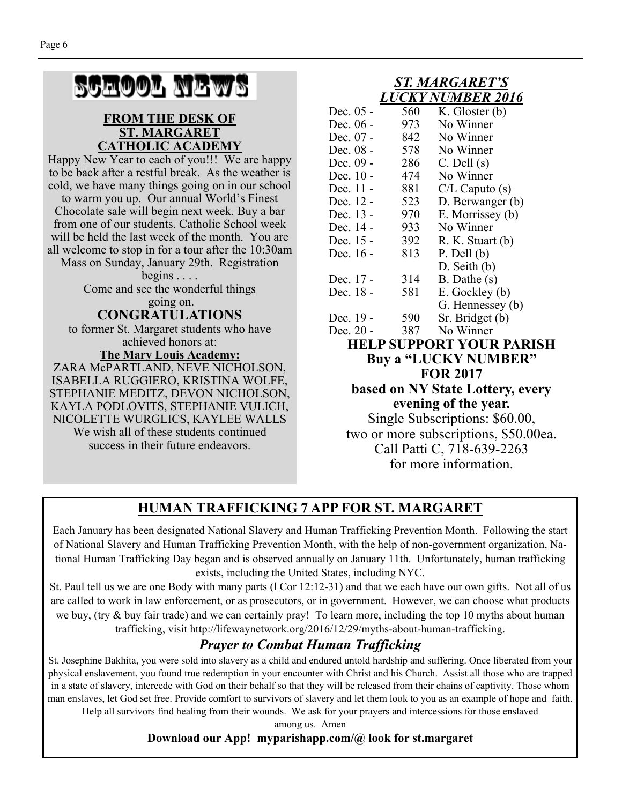# SCHOOL NEWS

#### **FROM THE DESK OF ST. MARGARET CATHOLIC ACADEMY**

Happy New Year to each of you!!! We are happy to be back after a restful break. As the weather is cold, we have many things going on in our school

to warm you up. Our annual World's Finest Chocolate sale will begin next week. Buy a bar from one of our students. Catholic School week will be held the last week of the month. You are all welcome to stop in for a tour after the 10:30am

Mass on Sunday, January 29th. Registration begins  $\ldots$ .

> Come and see the wonderful things going on.

**CONGRATULATIONS** 

to former St. Margaret students who have achieved honors at: **The Mary Louis Academy:** 

ZARA McPARTLAND, NEVE NICHOLSON, ISABELLA RUGGIERO, KRISTINA WOLFE, STEPHANIE MEDITZ, DEVON NICHOLSON, KAYLA PODLOVITS, STEPHANIE VULICH, NICOLETTE WURGLICS, KAYLEE WALLS We wish all of these students continued success in their future endeavors.

#### *ST. MARGARET'S LUCKY NUMBER 2016*

| Dec. 05 -                               | 560 | K. Gloster (b)   |  |  |  |
|-----------------------------------------|-----|------------------|--|--|--|
| Dec. 06 -                               | 973 | No Winner        |  |  |  |
| Dec. 07 -                               | 842 | No Winner        |  |  |  |
| Dec. 08 -                               | 578 | No Winner        |  |  |  |
| Dec. 09 -                               | 286 | $C.$ Dell $(s)$  |  |  |  |
| Dec. 10 -                               | 474 | No Winner        |  |  |  |
| Dec. 11 -                               | 881 | C/L Caputo (s)   |  |  |  |
| Dec. 12 -                               | 523 | D. Berwanger (b) |  |  |  |
| Dec. 13 -                               | 970 | E. Morrissey (b) |  |  |  |
| Dec. 14 -                               | 933 | No Winner        |  |  |  |
| Dec. 15 -                               | 392 | R. K. Stuart (b) |  |  |  |
| Dec. 16 -                               | 813 | $P.$ Dell $(b)$  |  |  |  |
|                                         |     | $D.$ Seith $(b)$ |  |  |  |
| Dec. 17 -                               | 314 | $B.$ Dathe $(s)$ |  |  |  |
| Dec. 18 -                               | 581 | E. Gockley (b)   |  |  |  |
|                                         |     | G. Hennessey (b) |  |  |  |
| Dec. 19 -                               | 590 | Sr. Bridget (b)  |  |  |  |
| Dec. 20 -                               | 387 | No Winner        |  |  |  |
| <b>HELP SUPPORT YOUR PARISH</b>         |     |                  |  |  |  |
| Buy a "LUCKY NUMBER"                    |     |                  |  |  |  |
| <b>FOR 2017</b>                         |     |                  |  |  |  |
| <b>based on NY State Lottery, every</b> |     |                  |  |  |  |
| evening of the year.                    |     |                  |  |  |  |
| Single Subscriptions: \$60.00,          |     |                  |  |  |  |
|                                         |     |                  |  |  |  |
| two or more subscriptions, \$50.00ea.   |     |                  |  |  |  |
| Call Patti C, 718-639-2263              |     |                  |  |  |  |
| for more information.                   |     |                  |  |  |  |

## **HUMAN TRAFFICKING 7 APP FOR ST. MARGARET**

Each January has been designated National Slavery and Human Trafficking Prevention Month. Following the start of National Slavery and Human Trafficking Prevention Month, with the help of non-government organization, National Human Trafficking Day began and is observed annually on January 11th. Unfortunately, human trafficking exists, including the United States, including NYC.

St. Paul tell us we are one Body with many parts (l Cor 12:12-31) and that we each have our own gifts. Not all of us are called to work in law enforcement, or as prosecutors, or in government. However, we can choose what products we buy, (try & buy fair trade) and we can certainly pray! To learn more, including the top 10 myths about human trafficking, visit http://lifewaynetwork.org/2016/12/29/myths-about-human-trafficking.

## *Prayer to Combat Human Trafficking*

St. Josephine Bakhita, you were sold into slavery as a child and endured untold hardship and suffering. Once liberated from your physical enslavement, you found true redemption in your encounter with Christ and his Church. Assist all those who are trapped in a state of slavery, intercede with God on their behalf so that they will be released from their chains of captivity. Those whom man enslaves, let God set free. Provide comfort to survivors of slavery and let them look to you as an example of hope and faith. Help all survivors find healing from their wounds. We ask for your prayers and intercessions for those enslaved

> among us. Amen **Download our App! myparishapp.com/@ look for st.margaret**